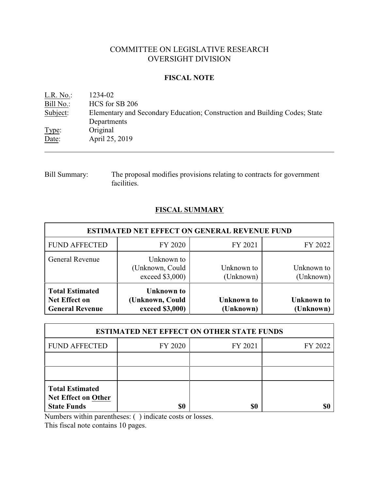# COMMITTEE ON LEGISLATIVE RESEARCH OVERSIGHT DIVISION

## **FISCAL NOTE**

| $L.R. No.$ : | 1234-02                                                                    |
|--------------|----------------------------------------------------------------------------|
| Bill No.:    | HCS for SB 206                                                             |
| Subject:     | Elementary and Secondary Education; Construction and Building Codes; State |
|              | Departments                                                                |
| Type:        | Original                                                                   |
| Date:        | April 25, 2019                                                             |
|              |                                                                            |

Bill Summary: The proposal modifies provisions relating to contracts for government facilities.

# **FISCAL SUMMARY**

| ESTIMATED NET EFFECT ON GENERAL REVENUE FUND                             |                                                         |                                |                         |  |
|--------------------------------------------------------------------------|---------------------------------------------------------|--------------------------------|-------------------------|--|
| <b>FUND AFFECTED</b>                                                     | FY 2020                                                 | FY 2021                        | FY 2022                 |  |
| General Revenue                                                          | Unknown to<br>(Unknown, Could<br>exceed \$3,000)        | Unknown to<br>(Unknown)        | Unknown to<br>(Unknown) |  |
| <b>Total Estimated</b><br><b>Net Effect on</b><br><b>General Revenue</b> | <b>Unknown to</b><br>(Unknown, Could<br>exceed \$3,000) | <b>Unknown</b> to<br>(Unknown) | Unknown to<br>(Unknown) |  |

| <b>ESTIMATED NET EFFECT ON OTHER STATE FUNDS</b>                           |         |         |         |  |
|----------------------------------------------------------------------------|---------|---------|---------|--|
| <b>FUND AFFECTED</b>                                                       | FY 2020 | FY 2021 | FY 2022 |  |
|                                                                            |         |         |         |  |
|                                                                            |         |         |         |  |
| <b>Total Estimated</b><br><b>Net Effect on Other</b><br><b>State Funds</b> | \$0     | \$0     |         |  |

Numbers within parentheses: ( ) indicate costs or losses.

This fiscal note contains 10 pages.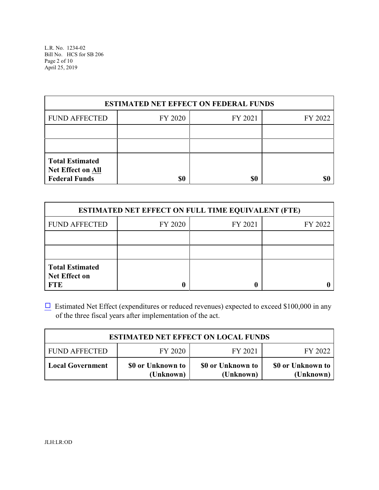L.R. No. 1234-02 Bill No. HCS for SB 206 Page 2 of 10 April 25, 2019

| <b>ESTIMATED NET EFFECT ON FEDERAL FUNDS</b>                        |         |         |         |  |
|---------------------------------------------------------------------|---------|---------|---------|--|
| <b>FUND AFFECTED</b>                                                | FY 2020 | FY 2021 | FY 2022 |  |
|                                                                     |         |         |         |  |
|                                                                     |         |         |         |  |
| <b>Total Estimated</b><br>Net Effect on All<br><b>Federal Funds</b> | \$0     | \$0     |         |  |

| <b>ESTIMATED NET EFFECT ON FULL TIME EQUIVALENT (FTE)</b>    |         |         |         |  |
|--------------------------------------------------------------|---------|---------|---------|--|
| <b>FUND AFFECTED</b>                                         | FY 2020 | FY 2021 | FY 2022 |  |
|                                                              |         |         |         |  |
|                                                              |         |         |         |  |
| <b>Total Estimated</b><br><b>Net Effect on</b><br><b>FTE</b> |         |         |         |  |

 $\Box$  Estimated Net Effect (expenditures or reduced revenues) expected to exceed \$100,000 in any of the three fiscal years after implementation of the act.

| <b>ESTIMATED NET EFFECT ON LOCAL FUNDS</b> |                                |                                |                                |  |
|--------------------------------------------|--------------------------------|--------------------------------|--------------------------------|--|
| <b>FUND AFFECTED</b>                       | FY 2020                        | FY 2021                        | FY 2022                        |  |
| <b>Local Government</b>                    | \$0 or Unknown to<br>(Unknown) | \$0 or Unknown to<br>(Unknown) | \$0 or Unknown to<br>(Unknown) |  |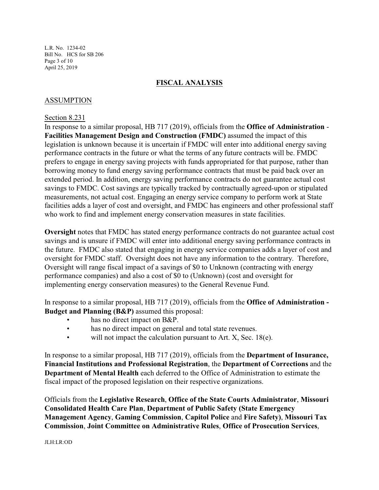L.R. No. 1234-02 Bill No. HCS for SB 206 Page 3 of 10 April 25, 2019

## **FISCAL ANALYSIS**

## ASSUMPTION

### Section 8.231

In response to a similar proposal, HB 717 (2019), officials from the **Office of Administration** - **Facilities Management Design and Construction (FMDC)** assumed the impact of this legislation is unknown because it is uncertain if FMDC will enter into additional energy saving performance contracts in the future or what the terms of any future contracts will be. FMDC prefers to engage in energy saving projects with funds appropriated for that purpose, rather than borrowing money to fund energy saving performance contracts that must be paid back over an extended period. In addition, energy saving performance contracts do not guarantee actual cost savings to FMDC. Cost savings are typically tracked by contractually agreed-upon or stipulated measurements, not actual cost. Engaging an energy service company to perform work at State facilities adds a layer of cost and oversight, and FMDC has engineers and other professional staff who work to find and implement energy conservation measures in state facilities.

**Oversight** notes that FMDC has stated energy performance contracts do not guarantee actual cost savings and is unsure if FMDC will enter into additional energy saving performance contracts in the future. FMDC also stated that engaging in energy service companies adds a layer of cost and oversight for FMDC staff. Oversight does not have any information to the contrary. Therefore, Oversight will range fiscal impact of a savings of \$0 to Unknown (contracting with energy performance companies) and also a cost of \$0 to (Unknown) (cost and oversight for implementing energy conservation measures) to the General Revenue Fund.

In response to a similar proposal, HB 717 (2019), officials from the **Office of Administration - Budget and Planning (B&P)** assumed this proposal:

- has no direct impact on B&P.
- has no direct impact on general and total state revenues.
- will not impact the calculation pursuant to Art. X, Sec. 18(e).

In response to a similar proposal, HB 717 (2019), officials from the **Department of Insurance, Financial Institutions and Professional Registration**, the **Department of Corrections** and the **Department of Mental Health** each deferred to the Office of Administration to estimate the fiscal impact of the proposed legislation on their respective organizations.

Officials from the **Legislative Research**, **Office of the State Courts Administrator**, **Missouri Consolidated Health Care Plan**, **Department of Public Safety (State Emergency Management Agency**, **Gaming Commission**, **Capitol Police** and **Fire Safety)**, **Missouri Tax Commission**, **Joint Committee on Administrative Rules**, **Office of Prosecution Services**,

JLH:LR:OD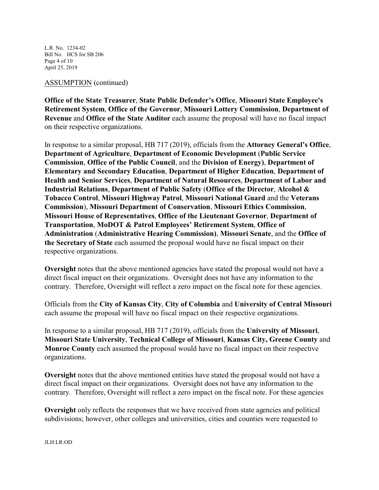L.R. No. 1234-02 Bill No. HCS for SB 206 Page 4 of 10 April 25, 2019

## ASSUMPTION (continued)

**Office of the State Treasurer**, **State Public Defender's Office**, **Missouri State Employee's Retirement System**, **Office of the Governor**, **Missouri Lottery Commission**, **Department of Revenue** and **Office of the State Auditor** each assume the proposal will have no fiscal impact on their respective organizations.

In response to a similar proposal, HB 717 (2019), officials from the **Attorney General's Office**, **Department of Agriculture**, **Department of Economic Development** (**Public Service Commission**, **Office of the Public Council**, and the **Division of Energy)**, **Department of Elementary and Secondary Education**, **Department of Higher Education**, **Department of Health and Senior Services**, **Department of Natural Resources**, **Department of Labor and Industrial Relations**, **Department of Public Safety** (**Office of the Director**, **Alcohol & Tobacco Control**, **Missouri Highway Patrol**, **Missouri National Guard** and the **Veterans Commission**), **Missouri Department of Conservation**, **Missouri Ethics Commission**, **Missouri House of Representatives**, **Office of the Lieutenant Governor**, **Department of Transportation**, **MoDOT & Patrol Employees' Retirement System**, **Office of Administration** (**Administrative Hearing Commission)**, **Missouri Senate**, and the **Office of the Secretary of State** each assumed the proposal would have no fiscal impact on their respective organizations.

**Oversight** notes that the above mentioned agencies have stated the proposal would not have a direct fiscal impact on their organizations. Oversight does not have any information to the contrary. Therefore, Oversight will reflect a zero impact on the fiscal note for these agencies.

Officials from the **City of Kansas City**, **City of Columbia** and **University of Central Missouri** each assume the proposal will have no fiscal impact on their respective organizations.

In response to a similar proposal, HB 717 (2019), officials from the **University of Missouri**, **Missouri State University**, **Technical College of Missouri**, **Kansas City, Greene County** and **Monroe County** each assumed the proposal would have no fiscal impact on their respective organizations.

**Oversight** notes that the above mentioned entities have stated the proposal would not have a direct fiscal impact on their organizations. Oversight does not have any information to the contrary. Therefore, Oversight will reflect a zero impact on the fiscal note. For these agencies

**Oversight** only reflects the responses that we have received from state agencies and political subdivisions; however, other colleges and universities, cities and counties were requested to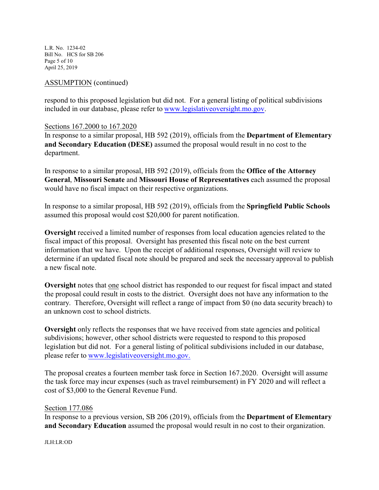L.R. No. 1234-02 Bill No. HCS for SB 206 Page 5 of 10 April 25, 2019

## ASSUMPTION (continued)

respond to this proposed legislation but did not. For a general listing of political subdivisions included in our database, please refer to [www.legislativeoversight.mo.gov](http://www.legislativeoversight.mo.gov).

## Sections 167.2000 to 167.2020

In response to a similar proposal, HB 592 (2019), officials from the **Department of Elementary and Secondary Education (DESE)** assumed the proposal would result in no cost to the department.

In response to a similar proposal, HB 592 (2019), officials from the **Office of the Attorney General**, **Missouri Senate** and **Missouri House of Representatives** each assumed the proposal would have no fiscal impact on their respective organizations.

In response to a similar proposal, HB 592 (2019), officials from the **Springfield Public Schools** assumed this proposal would cost \$20,000 for parent notification.

**Oversight** received a limited number of responses from local education agencies related to the fiscal impact of this proposal. Oversight has presented this fiscal note on the best current information that we have. Upon the receipt of additional responses, Oversight will review to determine if an updated fiscal note should be prepared and seek the necessary approval to publish a new fiscal note.

**Oversight** notes that one school district has responded to our request for fiscal impact and stated the proposal could result in costs to the district. Oversight does not have any information to the contrary. Therefore, Oversight will reflect a range of impact from \$0 (no data security breach) to an unknown cost to school districts.

**Oversight** only reflects the responses that we have received from state agencies and political subdivisions; however, other school districts were requested to respond to this proposed legislation but did not. For a general listing of political subdivisions included in our database, please refer to [www.legislativeoversight.mo.gov.](http://www.legislativeoversight.mo.gov.)

The proposal creates a fourteen member task force in Section 167.2020. Oversight will assume the task force may incur expenses (such as travel reimbursement) in FY 2020 and will reflect a cost of \$3,000 to the General Revenue Fund.

### Section 177.086

In response to a previous version, SB 206 (2019), officials from the **Department of Elementary and Secondary Education** assumed the proposal would result in no cost to their organization.

#### JLH:LR:OD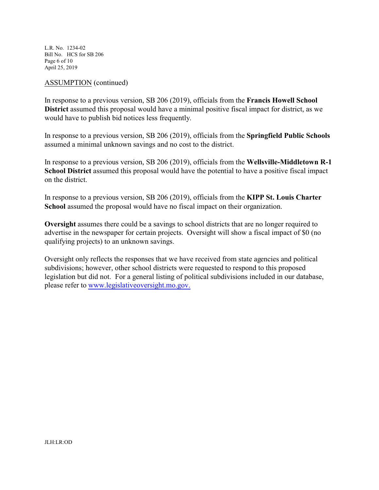L.R. No. 1234-02 Bill No. HCS for SB 206 Page 6 of 10 April 25, 2019

## ASSUMPTION (continued)

In response to a previous version, SB 206 (2019), officials from the **Francis Howell School District** assumed this proposal would have a minimal positive fiscal impact for district, as we would have to publish bid notices less frequently.

In response to a previous version, SB 206 (2019), officials from the **Springfield Public Schools** assumed a minimal unknown savings and no cost to the district.

In response to a previous version, SB 206 (2019), officials from the **Wellsville-Middletown R-1 School District** assumed this proposal would have the potential to have a positive fiscal impact on the district.

In response to a previous version, SB 206 (2019), officials from the **KIPP St. Louis Charter School** assumed the proposal would have no fiscal impact on their organization.

**Oversight** assumes there could be a savings to school districts that are no longer required to advertise in the newspaper for certain projects. Oversight will show a fiscal impact of \$0 (no qualifying projects) to an unknown savings.

Oversight only reflects the responses that we have received from state agencies and political subdivisions; however, other school districts were requested to respond to this proposed legislation but did not. For a general listing of political subdivisions included in our database, please refer to [www.legislativeoversight.mo.gov.](http://www.legislativeoversight.mo.gov.)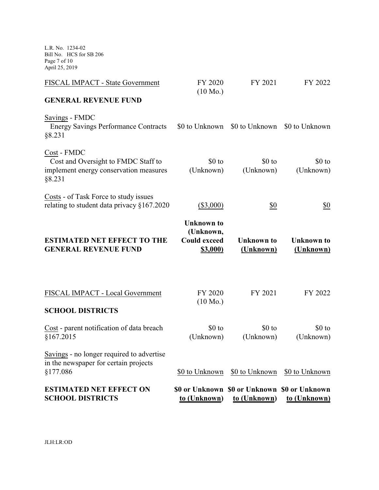L.R. No. 1234-02 Bill No. HCS for SB 206 Page 7 of 10 April 25, 2019

| <b>ESTIMATED NET EFFECT ON</b><br><b>SCHOOL DISTRICTS</b>                                              | to (Unknown)                                                             | \$0 or Unknown \$0 or Unknown \$0 or Unknown<br>to (Unknown) | to (Unknown)                   |
|--------------------------------------------------------------------------------------------------------|--------------------------------------------------------------------------|--------------------------------------------------------------|--------------------------------|
| Savings - no longer required to advertise<br>in the newspaper for certain projects<br>§177.086         | \$0 to Unknown                                                           | \$0 to Unknown                                               | \$0 to Unknown                 |
| Cost - parent notification of data breach<br>§167.2015                                                 | \$0 to<br>(Unknown)                                                      | \$0 to<br>(Unknown)                                          | \$0 to<br>(Unknown)            |
| <b>SCHOOL DISTRICTS</b>                                                                                |                                                                          |                                                              |                                |
| FISCAL IMPACT - Local Government                                                                       | FY 2020<br>$(10 \text{ Mo.})$                                            | FY 2021                                                      | FY 2022                        |
| <b>ESTIMATED NET EFFECT TO THE</b><br><b>GENERAL REVENUE FUND</b>                                      | <b>Unknown</b> to<br>(Unknown,<br><b>Could exceed</b><br><b>\$3,000)</b> | <b>Unknown</b> to<br>(Unknown)                               | <b>Unknown</b> to<br>(Unknown) |
| Costs - of Task Force to study issues<br>relating to student data privacy §167.2020                    | $(\$3,000)$                                                              | \$0                                                          | \$0                            |
| Cost - FMDC<br>Cost and Oversight to FMDC Staff to<br>implement energy conservation measures<br>§8.231 | \$0 to<br>(Unknown)                                                      | $$0$ to<br>(Unknown)                                         | \$0 to<br>(Unknown)            |
| Savings - FMDC<br><b>Energy Savings Performance Contracts</b><br>§8.231                                | \$0 to Unknown                                                           | \$0 to Unknown                                               | \$0 to Unknown                 |
| <b>GENERAL REVENUE FUND</b>                                                                            |                                                                          |                                                              |                                |
| FISCAL IMPACT - State Government                                                                       | FY 2020<br>$(10 \text{ Mo.})$                                            | FY 2021                                                      | FY 2022                        |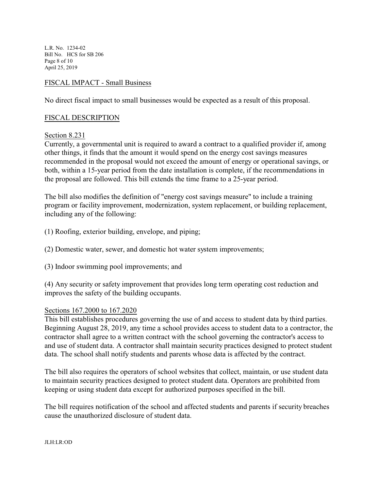L.R. No. 1234-02 Bill No. HCS for SB 206 Page 8 of 10 April 25, 2019

## FISCAL IMPACT - Small Business

No direct fiscal impact to small businesses would be expected as a result of this proposal.

## FISCAL DESCRIPTION

Section 8.231

Currently, a governmental unit is required to award a contract to a qualified provider if, among other things, it finds that the amount it would spend on the energy cost savings measures recommended in the proposal would not exceed the amount of energy or operational savings, or both, within a 15-year period from the date installation is complete, if the recommendations in the proposal are followed. This bill extends the time frame to a 25-year period.

The bill also modifies the definition of "energy cost savings measure" to include a training program or facility improvement, modernization, system replacement, or building replacement, including any of the following:

- (1) Roofing, exterior building, envelope, and piping;
- (2) Domestic water, sewer, and domestic hot water system improvements;
- (3) Indoor swimming pool improvements; and

(4) Any security or safety improvement that provides long term operating cost reduction and improves the safety of the building occupants.

## Sections 167.2000 to 167.2020

This bill establishes procedures governing the use of and access to student data by third parties. Beginning August 28, 2019, any time a school provides access to student data to a contractor, the contractor shall agree to a written contract with the school governing the contractor's access to and use of student data. A contractor shall maintain security practices designed to protect student data. The school shall notify students and parents whose data is affected by the contract.

The bill also requires the operators of school websites that collect, maintain, or use student data to maintain security practices designed to protect student data. Operators are prohibited from keeping or using student data except for authorized purposes specified in the bill.

The bill requires notification of the school and affected students and parents if security breaches cause the unauthorized disclosure of student data.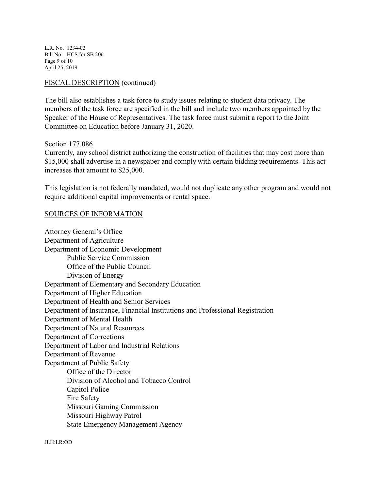L.R. No. 1234-02 Bill No. HCS for SB 206 Page 9 of 10 April 25, 2019

## FISCAL DESCRIPTION (continued)

The bill also establishes a task force to study issues relating to student data privacy. The members of the task force are specified in the bill and include two members appointed by the Speaker of the House of Representatives. The task force must submit a report to the Joint Committee on Education before January 31, 2020.

### Section 177.086

Currently, any school district authorizing the construction of facilities that may cost more than \$15,000 shall advertise in a newspaper and comply with certain bidding requirements. This act increases that amount to \$25,000.

This legislation is not federally mandated, would not duplicate any other program and would not require additional capital improvements or rental space.

## SOURCES OF INFORMATION

Attorney General's Office Department of Agriculture Department of Economic Development Public Service Commission Office of the Public Council Division of Energy Department of Elementary and Secondary Education Department of Higher Education Department of Health and Senior Services Department of Insurance, Financial Institutions and Professional Registration Department of Mental Health Department of Natural Resources Department of Corrections Department of Labor and Industrial Relations Department of Revenue Department of Public Safety Office of the Director Division of Alcohol and Tobacco Control Capitol Police Fire Safety Missouri Gaming Commission Missouri Highway Patrol State Emergency Management Agency